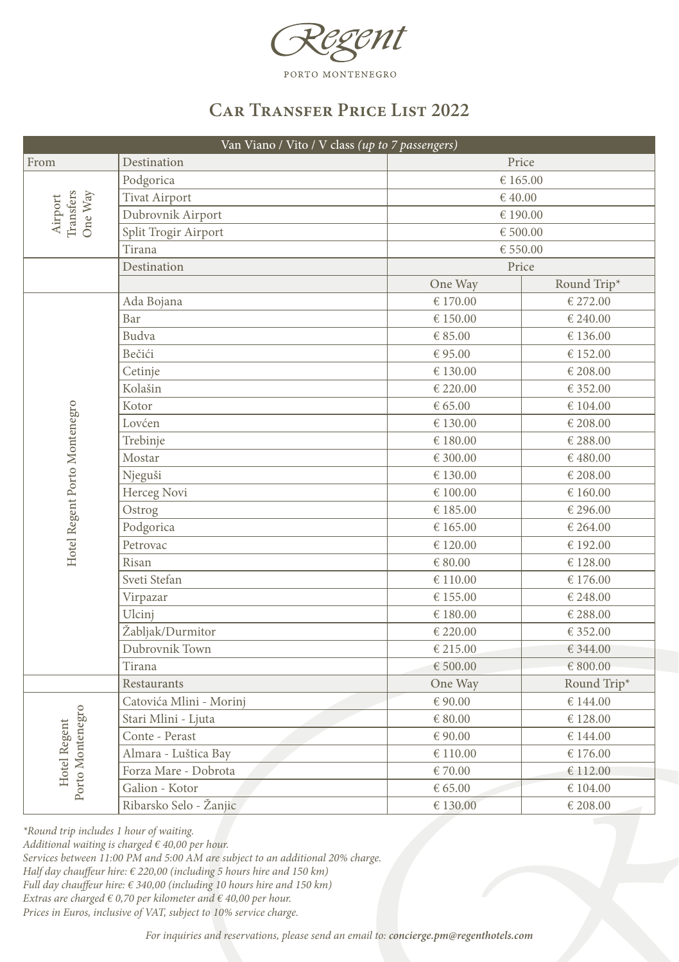

## **Car Transfer Price List 2022**

| Van Viano / Vito / V class (up to 7 passengers) |                         |          |             |  |  |
|-------------------------------------------------|-------------------------|----------|-------------|--|--|
| From                                            | Destination             | Price    |             |  |  |
| Transfers<br>One Way<br>Airport                 | Podgorica               |          | € 165.00    |  |  |
|                                                 | <b>Tivat Airport</b>    |          | €40.00      |  |  |
|                                                 | Dubrovnik Airport       |          | € 190.00    |  |  |
|                                                 | Split Trogir Airport    |          | € 500.00    |  |  |
|                                                 | Tirana                  |          | € 550.00    |  |  |
|                                                 | Destination             |          | Price       |  |  |
|                                                 |                         | One Way  | Round Trip* |  |  |
|                                                 | Ada Bojana              | € 170.00 | € 272.00    |  |  |
|                                                 | Bar                     | € 150.00 | € 240.00    |  |  |
|                                                 | Budva                   | € 85.00  | € 136.00    |  |  |
|                                                 | Bečići                  | €95.00   | € 152.00    |  |  |
|                                                 | Cetinje                 | € 130.00 | € 208.00    |  |  |
|                                                 | Kolašin                 | € 220.00 | € 352.00    |  |  |
|                                                 | Kotor                   | € 65.00  | € 104.00    |  |  |
|                                                 | Lovćen                  | € 130.00 | € 208.00    |  |  |
|                                                 | Trebinje                | € 180.00 | € 288.00    |  |  |
|                                                 | Mostar                  | € 300.00 | € 480.00    |  |  |
|                                                 | Njeguši                 | € 130.00 | € 208.00    |  |  |
| Hotel Regent Porto Montenegro                   | Herceg Novi             | € 100.00 | € 160.00    |  |  |
|                                                 | Ostrog                  | € 185.00 | € 296.00    |  |  |
|                                                 | Podgorica               | € 165.00 | € 264.00    |  |  |
|                                                 | Petrovac                | € 120.00 | € 192.00    |  |  |
|                                                 | Risan                   | € 80.00  | € 128.00    |  |  |
|                                                 | Sveti Stefan            | € 110.00 | € 176.00    |  |  |
|                                                 | Virpazar                | € 155.00 | € 248.00    |  |  |
|                                                 | Ulcinj                  | € 180.00 | € 288.00    |  |  |
|                                                 | Žabljak/Durmitor        | € 220.00 | € 352.00    |  |  |
|                                                 | Dubrovnik Town          | € 215.00 | € 344.00    |  |  |
|                                                 | Tirana                  | € 500.00 | € 800.00    |  |  |
|                                                 | Restaurants             | One Way  | Round Trip* |  |  |
|                                                 | Catovića Mlini - Morinj | € 90.00  | € 144.00    |  |  |
|                                                 | Stari Mlini - Ljuta     | € 80.00  | € 128.00    |  |  |
| Porto Montenegro<br>Hotel Regent                | Conte - Perast          | € 90.00  | € 144.00    |  |  |
|                                                 | Almara - Luštica Bay    | € 110.00 | € 176.00    |  |  |
|                                                 | Forza Mare - Dobrota    | €70.00   | € 112.00    |  |  |
|                                                 | Galion - Kotor          | € 65.00  | € 104.00    |  |  |
|                                                 | Ribarsko Selo - Žanjic  | € 130.00 | € 208.00    |  |  |

*\*Round trip includes 1 hour of waiting.*

*Additional waiting is charged € 40,00 per hour.*

*Services between 11:00 PM and 5:00 AM are subject to an additional 20% charge.*

*Half day chauffeur hire: € 220,00 (including 5 hours hire and 150 km)*

*Full day chauffeur hire: € 340,00 (including 10 hours hire and 150 km)*

*Extras are charged € 0,70 per kilometer and € 40,00 per hour.* 

*Prices in Euros, inclusive of VAT, subject to 10% service charge.*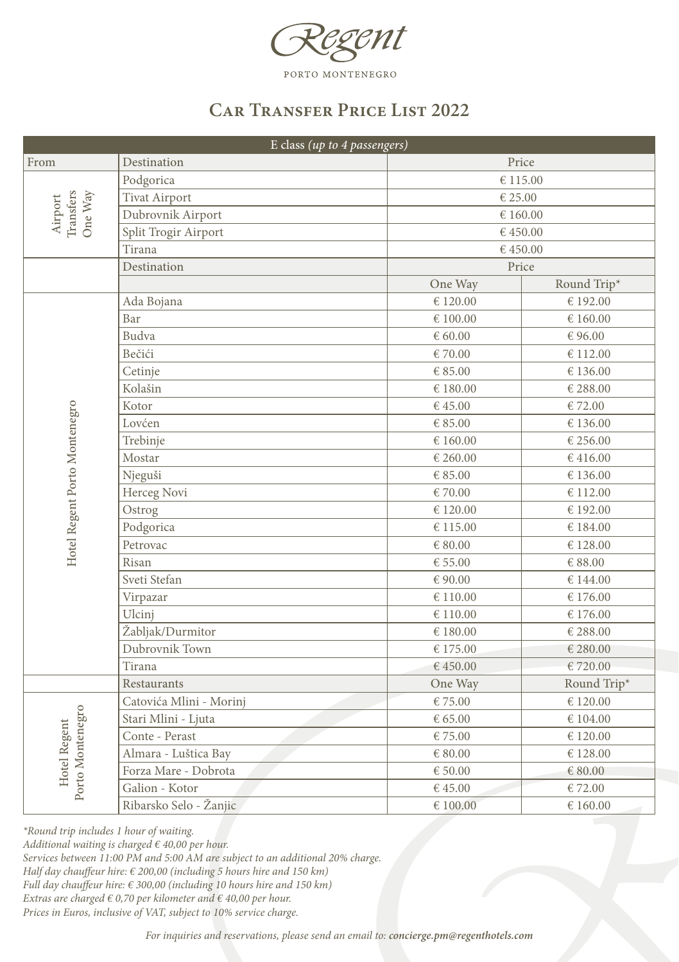

## **Car Transfer Price List 2022**

| E class (up to 4 passengers)     |                         |             |             |  |  |
|----------------------------------|-------------------------|-------------|-------------|--|--|
| From                             | Destination             | Price       |             |  |  |
| Transfers<br>One Way<br>Airport  | Podgorica               |             | € 115.00    |  |  |
|                                  | <b>Tivat Airport</b>    |             | € 25.00     |  |  |
|                                  | Dubrovnik Airport       |             | € 160.00    |  |  |
|                                  | Split Trogir Airport    |             | €450.00     |  |  |
|                                  | Tirana                  |             | €450.00     |  |  |
|                                  | Destination             |             | Price       |  |  |
|                                  |                         | One Way     | Round Trip* |  |  |
|                                  | Ada Bojana              | € 120.00    | € 192.00    |  |  |
|                                  | Bar                     | € 100.00    | € 160.00    |  |  |
|                                  | Budva                   | € 60.00     | € 96.00     |  |  |
|                                  | Bečići                  | €70.00      | € 112.00    |  |  |
|                                  | Cetinje                 | € 85.00     | € 136.00    |  |  |
|                                  | Kolašin                 | € 180.00    | € 288.00    |  |  |
|                                  | Kotor                   | €45.00      | €72.00      |  |  |
|                                  | Lovćen                  | € 85.00     | € 136.00    |  |  |
|                                  | Trebinje                | € 160.00    | € 256.00    |  |  |
|                                  | Mostar                  | € 260.00    | € 416.00    |  |  |
| Hotel Regent Porto Montenegro    | Njeguši                 | € 85.00     | € 136.00    |  |  |
|                                  | Herceg Novi             | €70.00      | € 112.00    |  |  |
|                                  | Ostrog                  | € 120.00    | € 192.00    |  |  |
|                                  | Podgorica               | € 115.00    | € 184.00    |  |  |
|                                  | Petrovac                | $\in 80.00$ | € 128.00    |  |  |
|                                  | Risan                   | € 55.00     | € 88.00     |  |  |
|                                  | Sveti Stefan            | €90.00      | € 144.00    |  |  |
|                                  | Virpazar                | € 110.00    | € 176.00    |  |  |
|                                  | Ulcinj                  | € 110.00    | € 176.00    |  |  |
|                                  | Žabljak/Durmitor        | € 180.00    | € 288.00    |  |  |
|                                  | Dubrovnik Town          | € 175.00    | € 280.00    |  |  |
|                                  | Tirana                  | €450.00     | €720.00     |  |  |
|                                  | Restaurants             | One Way     | Round Trip* |  |  |
|                                  | Catovića Mlini - Morinj | €75.00      | € 120.00    |  |  |
|                                  | Stari Mlini - Ljuta     | € 65.00     | € 104.00    |  |  |
| Porto Montenegro<br>Hotel Regent | Conte - Perast          | €75.00      | € 120.00    |  |  |
|                                  | Almara - Luštica Bay    | € 80.00     | € 128.00    |  |  |
|                                  | Forza Mare - Dobrota    | € 50.00     | $\in80.00$  |  |  |
|                                  | Galion - Kotor          | €45.00      | €72.00      |  |  |
|                                  | Ribarsko Selo - Žanjic  | € 100.00    | € 160.00    |  |  |

*\*Round trip includes 1 hour of waiting.*

*Additional waiting is charged € 40,00 per hour.*

*Services between 11:00 PM and 5:00 AM are subject to an additional 20% charge.*

*Half day chauffeur hire: € 200,00 (including 5 hours hire and 150 km)*

*Full day chauffeur hire: € 300,00 (including 10 hours hire and 150 km)*

*Extras are charged € 0,70 per kilometer and € 40,00 per hour.* 

*Prices in Euros, inclusive of VAT, subject to 10% service charge.*